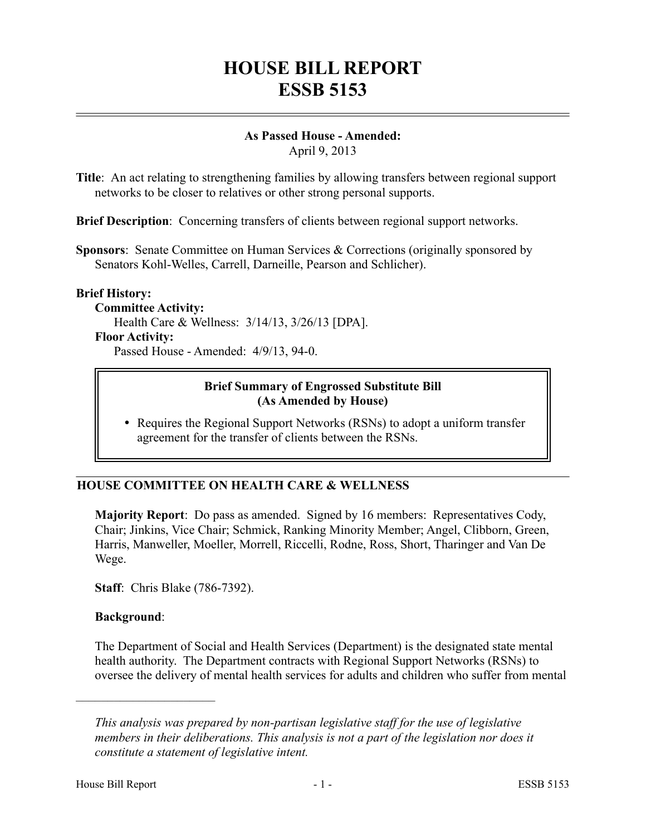## **HOUSE BILL REPORT ESSB 5153**

# **As Passed House - Amended:**

April 9, 2013

**Title**: An act relating to strengthening families by allowing transfers between regional support networks to be closer to relatives or other strong personal supports.

**Brief Description**: Concerning transfers of clients between regional support networks.

**Sponsors**: Senate Committee on Human Services & Corrections (originally sponsored by Senators Kohl-Welles, Carrell, Darneille, Pearson and Schlicher).

#### **Brief History:**

**Committee Activity:** Health Care & Wellness: 3/14/13, 3/26/13 [DPA]. **Floor Activity:**

Passed House - Amended: 4/9/13, 94-0.

#### **Brief Summary of Engrossed Substitute Bill (As Amended by House)**

• Requires the Regional Support Networks (RSNs) to adopt a uniform transfer agreement for the transfer of clients between the RSNs.

## **HOUSE COMMITTEE ON HEALTH CARE & WELLNESS**

**Majority Report**: Do pass as amended. Signed by 16 members: Representatives Cody, Chair; Jinkins, Vice Chair; Schmick, Ranking Minority Member; Angel, Clibborn, Green, Harris, Manweller, Moeller, Morrell, Riccelli, Rodne, Ross, Short, Tharinger and Van De Wege.

**Staff**: Chris Blake (786-7392).

### **Background**:

––––––––––––––––––––––

The Department of Social and Health Services (Department) is the designated state mental health authority. The Department contracts with Regional Support Networks (RSNs) to oversee the delivery of mental health services for adults and children who suffer from mental

*This analysis was prepared by non-partisan legislative staff for the use of legislative members in their deliberations. This analysis is not a part of the legislation nor does it constitute a statement of legislative intent.*